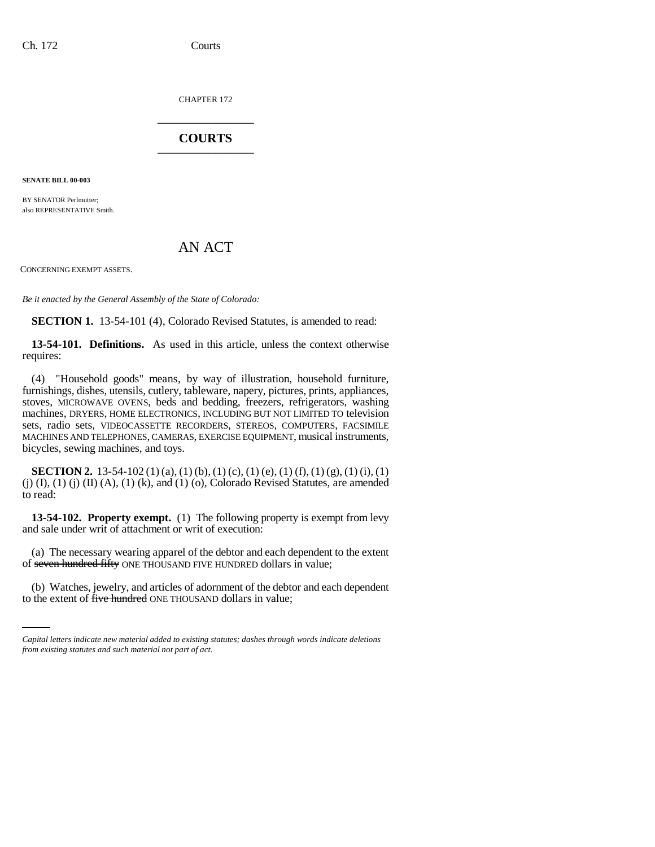CHAPTER 172 \_\_\_\_\_\_\_\_\_\_\_\_\_\_\_

## **COURTS** \_\_\_\_\_\_\_\_\_\_\_\_\_\_\_

**SENATE BILL 00-003** 

BY SENATOR Perlmutter; also REPRESENTATIVE Smith.

## AN ACT

CONCERNING EXEMPT ASSETS.

*Be it enacted by the General Assembly of the State of Colorado:*

**SECTION 1.** 13-54-101 (4), Colorado Revised Statutes, is amended to read:

**13-54-101. Definitions.** As used in this article, unless the context otherwise requires:

(4) "Household goods" means, by way of illustration, household furniture, furnishings, dishes, utensils, cutlery, tableware, napery, pictures, prints, appliances, stoves, MICROWAVE OVENS, beds and bedding, freezers, refrigerators, washing machines, DRYERS, HOME ELECTRONICS, INCLUDING BUT NOT LIMITED TO television sets, radio sets, VIDEOCASSETTE RECORDERS, STEREOS, COMPUTERS, FACSIMILE MACHINES AND TELEPHONES, CAMERAS, EXERCISE EQUIPMENT, musical instruments, bicycles, sewing machines, and toys.

**SECTION 2.** 13-54-102 (1) (a), (1) (b), (1) (c), (1) (e), (1) (f), (1) (g), (1) (i), (1) (j)  $(I)$ ,  $(I)$   $(I)$   $(II)$   $(A)$ ,  $(I)$   $(k)$ , and  $(I)$   $(o)$ , Colorado Revised Statutes, are amended to read:

**13-54-102. Property exempt.** (1) The following property is exempt from levy and sale under writ of attachment or writ of execution:

of <del>seven hundred fifty</del> ONE THOUSAND FIVE HUNDRED dollars in value; (a) The necessary wearing apparel of the debtor and each dependent to the extent

(b) Watches, jewelry, and articles of adornment of the debtor and each dependent to the extent of five hundred ONE THOUSAND dollars in value;

*Capital letters indicate new material added to existing statutes; dashes through words indicate deletions from existing statutes and such material not part of act.*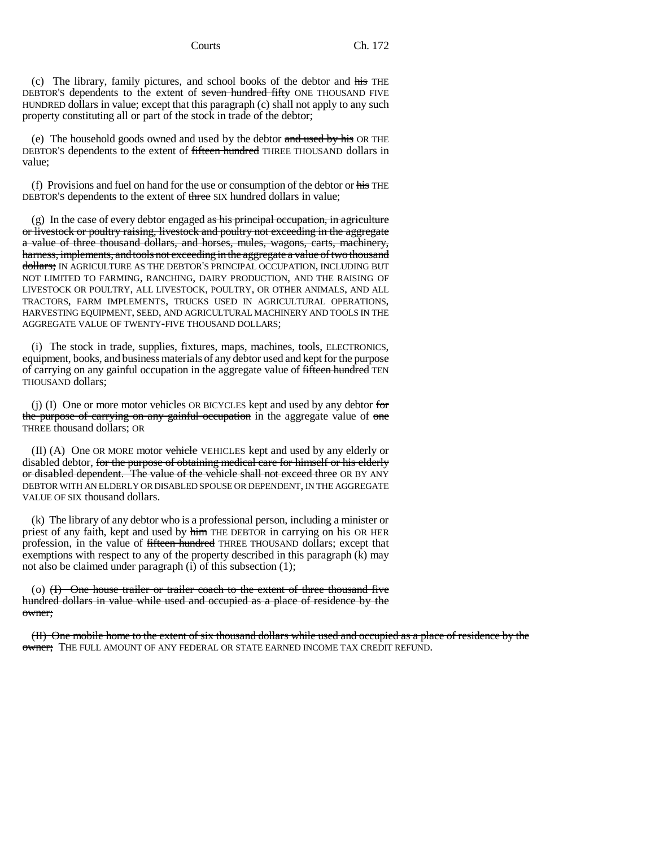(c) The library, family pictures, and school books of the debtor and his THE DEBTOR'S dependents to the extent of seven hundred fifty ONE THOUSAND FIVE HUNDRED dollars in value; except that this paragraph (c) shall not apply to any such property constituting all or part of the stock in trade of the debtor;

(e) The household goods owned and used by the debtor and used by his OR THE DEBTOR'S dependents to the extent of fifteen hundred THREE THOUSAND dollars in value;

(f) Provisions and fuel on hand for the use or consumption of the debtor or  $\frac{1}{115}$  THE DEBTOR'S dependents to the extent of three SIX hundred dollars in value;

(g) In the case of every debtor engaged as his principal occupation, in agriculture or livestock or poultry raising, livestock and poultry not exceeding in the aggregate a value of three thousand dollars, and horses, mules, wagons, carts, machinery, harness, implements, and tools not exceeding in the aggregate a value of two thousand dollars; IN AGRICULTURE AS THE DEBTOR'S PRINCIPAL OCCUPATION, INCLUDING BUT NOT LIMITED TO FARMING, RANCHING, DAIRY PRODUCTION, AND THE RAISING OF LIVESTOCK OR POULTRY, ALL LIVESTOCK, POULTRY, OR OTHER ANIMALS, AND ALL TRACTORS, FARM IMPLEMENTS, TRUCKS USED IN AGRICULTURAL OPERATIONS, HARVESTING EQUIPMENT, SEED, AND AGRICULTURAL MACHINERY AND TOOLS IN THE AGGREGATE VALUE OF TWENTY-FIVE THOUSAND DOLLARS;

(i) The stock in trade, supplies, fixtures, maps, machines, tools, ELECTRONICS, equipment, books, and business materials of any debtor used and kept for the purpose of carrying on any gainful occupation in the aggregate value of fifteen hundred TEN THOUSAND dollars;

(j) (I) One or more motor vehicles OR BICYCLES kept and used by any debtor for the purpose of carrying on any gainful occupation in the aggregate value of one THREE thousand dollars; OR

(II) (A) One OR MORE motor vehicle VEHICLES kept and used by any elderly or disabled debtor, for the purpose of obtaining medical care for himself or his elderly or disabled dependent. The value of the vehicle shall not exceed three OR BY ANY DEBTOR WITH AN ELDERLY OR DISABLED SPOUSE OR DEPENDENT, IN THE AGGREGATE VALUE OF SIX thousand dollars.

(k) The library of any debtor who is a professional person, including a minister or priest of any faith, kept and used by him THE DEBTOR in carrying on his OR HER profession, in the value of fifteen hundred THREE THOUSAND dollars; except that exemptions with respect to any of the property described in this paragraph (k) may not also be claimed under paragraph (i) of this subsection (1);

(o)  $(H)$  One house trailer or trailer coach to the extent of three thousand five hundred dollars in value while used and occupied as a place of residence by the owner;

(II) One mobile home to the extent of six thousand dollars while used and occupied as a place of residence by the owner; THE FULL AMOUNT OF ANY FEDERAL OR STATE EARNED INCOME TAX CREDIT REFUND.